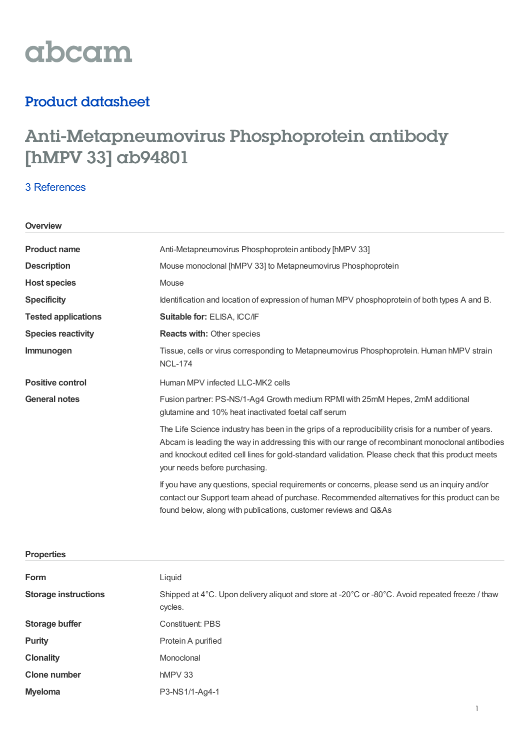

## Product datasheet

# Anti-Metapneumovirus Phosphoprotein antibody [hMPV 33] ab94801

### 3 [References](https://www.abcam.com/metapneumovirus-phosphoprotein-antibody-hmpv-33-ab94801.html#description_references)

#### **Overview**

| <b>Product name</b>        | Anti-Metapneumovirus Phosphoprotein antibody [hMPV 33]                                                                                                                                                                                                                                                                                      |  |
|----------------------------|---------------------------------------------------------------------------------------------------------------------------------------------------------------------------------------------------------------------------------------------------------------------------------------------------------------------------------------------|--|
| <b>Description</b>         | Mouse monoclonal [hMPV 33] to Metapneumovirus Phosphoprotein                                                                                                                                                                                                                                                                                |  |
| <b>Host species</b>        | Mouse                                                                                                                                                                                                                                                                                                                                       |  |
| <b>Specificity</b>         | Identification and location of expression of human MPV phosphoprotein of both types A and B.                                                                                                                                                                                                                                                |  |
| <b>Tested applications</b> | Suitable for: ELISA, ICC/IF                                                                                                                                                                                                                                                                                                                 |  |
| <b>Species reactivity</b>  | <b>Reacts with: Other species</b>                                                                                                                                                                                                                                                                                                           |  |
| Immunogen                  | Tissue, cells or virus corresponding to Metapneumovirus Phosphoprotein. Human hMPV strain<br><b>NCL-174</b>                                                                                                                                                                                                                                 |  |
| <b>Positive control</b>    | Human MPV infected LLC-MK2 cells                                                                                                                                                                                                                                                                                                            |  |
| <b>General notes</b>       | Fusion partner: PS-NS/1-Ag4 Growth medium RPMI with 25mM Hepes, 2mM additional<br>glutamine and 10% heat inactivated foetal calf serum                                                                                                                                                                                                      |  |
|                            | The Life Science industry has been in the grips of a reproducibility crisis for a number of years.<br>Abcam is leading the way in addressing this with our range of recombinant monoclonal antibodies<br>and knockout edited cell lines for gold-standard validation. Please check that this product meets<br>your needs before purchasing. |  |
|                            | If you have any questions, special requirements or concerns, please send us an inquiry and/or<br>contact our Support team ahead of purchase. Recommended alternatives for this product can be<br>found below, along with publications, customer reviews and Q&As                                                                            |  |

| <b>Properties</b> |
|-------------------|
|-------------------|

| <b>Form</b>                 | Liquid                                                                                                     |  |
|-----------------------------|------------------------------------------------------------------------------------------------------------|--|
| <b>Storage instructions</b> | Shipped at 4°C. Upon delivery aliquot and store at -20°C or -80°C. Avoid repeated freeze / thaw<br>cycles. |  |
| <b>Storage buffer</b>       | <b>Constituent: PBS</b>                                                                                    |  |
| <b>Purity</b>               | Protein A purified                                                                                         |  |
| <b>Clonality</b>            | Monoclonal                                                                                                 |  |
| <b>Clone number</b>         | $hMPV$ 33                                                                                                  |  |
| <b>Myeloma</b>              | P3-NS1/1-Ag4-1                                                                                             |  |